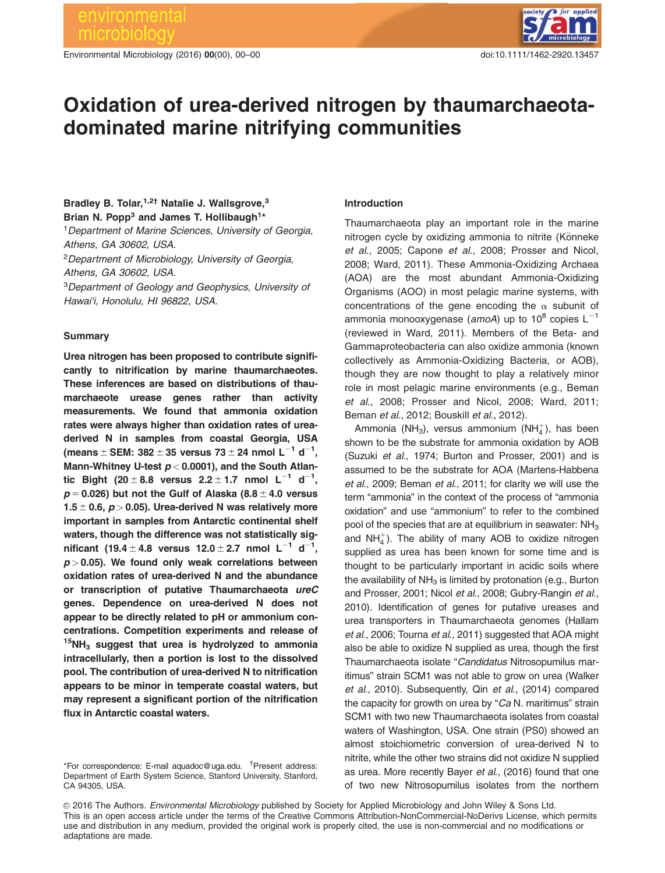Environmental Microbiology (2016) 00(00), 00–00 doi:10.1111/1462-2920.13457



# Oxidation of urea-derived nitrogen by thaumarchaeotadominated marine nitrifying communities

# Bradley B. Tolar, <sup>1,2†</sup> Natalie J. Wallsgrove.<sup>3</sup> Brian N. Popp<sup>3</sup> and James T. Hollibaugh<sup>1\*</sup>

<sup>1</sup> Department of Marine Sciences, University of Georgia, Athens, GA 30602, USA.

<sup>2</sup>Department of Microbiology, University of Georgia, Athens, GA 30602, USA.

<sup>3</sup>Department of Geology and Geophysics, University of Hawai'i, Honolulu, HI 96822, USA.

#### Summary

Urea nitrogen has been proposed to contribute significantly to nitrification by marine thaumarchaeotes. These inferences are based on distributions of thaumarchaeote urease genes rather than activity measurements. We found that ammonia oxidation rates were always higher than oxidation rates of ureaderived N in samples from coastal Georgia, USA (means  $\pm$  SEM: 382  $\pm$  35 versus 73  $\pm$  24 nmol L $^{-1}$  d $^{-1}$ , Mann-Whitney U-test  $p < 0.0001$ ), and the South Atlantic Bight (20  $\pm$  8.8 versus 2.2  $\pm$  1.7 nmol L $^{-1}$  d $^{-1}$ ,  $p = 0.026$ ) but not the Gulf of Alaska (8.8  $\pm$  4.0 versus 1.5  $\pm$  0.6,  $p > 0.05$ ). Urea-derived N was relatively more important in samples from Antarctic continental shelf waters, though the difference was not statistically significant (19.4  $\pm$  4.8 versus 12.0  $\pm$  2.7 nmol L<sup>-1</sup> d<sup>-1</sup>,  $p > 0.05$ ). We found only weak correlations between oxidation rates of urea-derived N and the abundance or transcription of putative Thaumarchaeota ureC genes. Dependence on urea-derived N does not appear to be directly related to pH or ammonium concentrations. Competition experiments and release of  $15NH<sub>3</sub>$  suggest that urea is hydrolyzed to ammonia intracellularly, then a portion is lost to the dissolved pool. The contribution of urea-derived N to nitrification appears to be minor in temperate coastal waters, but may represent a significant portion of the nitrification flux in Antarctic coastal waters.

#### Introduction

Thaumarchaeota play an important role in the marine nitrogen cycle by oxidizing ammonia to nitrite (Könneke et al., 2005; Capone et al., 2008; Prosser and Nicol, 2008; Ward, 2011). These Ammonia-Oxidizing Archaea (AOA) are the most abundant Ammonia-Oxidizing Organisms (AOO) in most pelagic marine systems, with concentrations of the gene encoding the  $\alpha$  subunit of ammonia monooxygenase (amoA) up to  $10^8$  copies L<sup>-1</sup> (reviewed in Ward, 2011). Members of the Beta- and Gammaproteobacteria can also oxidize ammonia (known collectively as Ammonia-Oxidizing Bacteria, or AOB), though they are now thought to play a relatively minor role in most pelagic marine environments (e.g., Beman et al., 2008; Prosser and Nicol, 2008; Ward, 2011; Beman et al., 2012; Bouskill et al., 2012).

Ammonia (NH<sub>3</sub>), versus ammonium (NH $_4^+$ ), has been shown to be the substrate for ammonia oxidation by AOB (Suzuki et al., 1974; Burton and Prosser, 2001) and is assumed to be the substrate for AOA (Martens-Habbena et al., 2009; Beman et al., 2011; for clarity we will use the term "ammonia" in the context of the process of "ammonia oxidation" and use "ammonium" to refer to the combined pool of the species that are at equilibrium in seawater:  $NH<sub>3</sub>$ and  $NH_4^+$ ). The ability of many AOB to oxidize nitrogen supplied as urea has been known for some time and is thought to be particularly important in acidic soils where the availability of  $NH<sub>3</sub>$  is limited by protonation (e.g., Burton and Prosser, 2001; Nicol et al., 2008; Gubry-Rangin et al., 2010). Identification of genes for putative ureases and urea transporters in Thaumarchaeota genomes (Hallam et al., 2006; Tourna et al., 2011) suggested that AOA might also be able to oxidize N supplied as urea, though the first Thaumarchaeota isolate "Candidatus Nitrosopumilus maritimus" strain SCM1 was not able to grow on urea (Walker et al., 2010). Subsequently, Qin et al., (2014) compared the capacity for growth on urea by "Ca N. maritimus" strain SCM1 with two new Thaumarchaeota isolates from coastal waters of Washington, USA. One strain (PS0) showed an almost stoichiometric conversion of urea-derived N to nitrite, while the other two strains did not oxidize N supplied as urea. More recently Bayer et al., (2016) found that one of two new Nitrosopumilus isolates from the northern

© 2016 The Authors. Environmental Microbiology published by Society for Applied Microbiology and John Wiley & Sons Ltd. This is an open access article under the terms of the Creative Commons Attribution-NonCommercial-NoDerivs License, which permits use and distribution in any medium, provided the original work is properly cited, the use is non-commercial and no modifications or adaptations are made.

<sup>\*</sup>For correspondence: E-mail aquadoc@uga.edu. † Present address: Department of Earth System Science, Stanford University, Stanford, CA 94305, USA.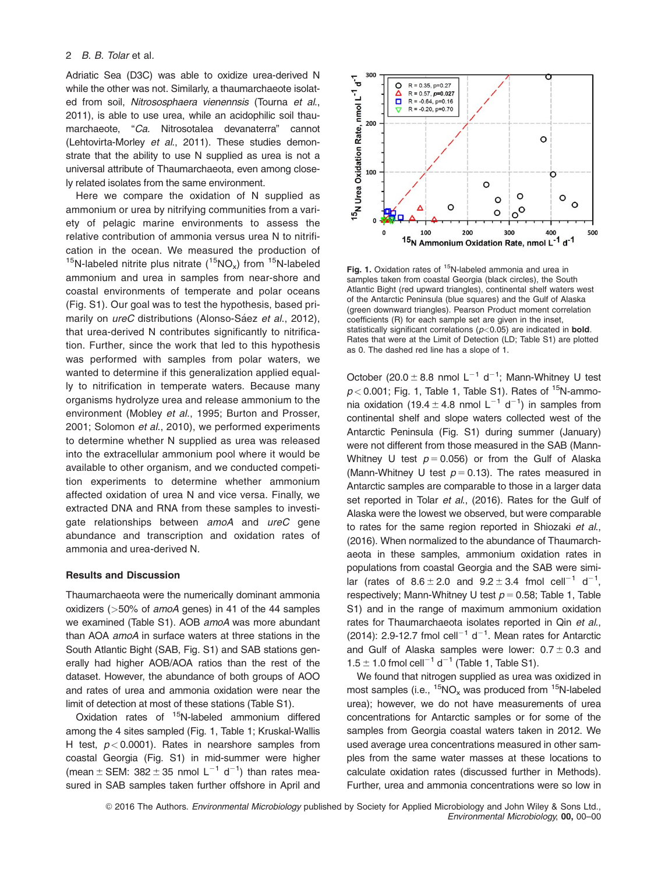Adriatic Sea (D3C) was able to oxidize urea-derived N while the other was not. Similarly, a thaumarchaeote isolated from soil, Nitrososphaera vienennsis (Tourna et al., 2011), is able to use urea, while an acidophilic soil thaumarchaeote, "Ca. Nitrosotalea devanaterra" cannot (Lehtovirta-Morley et al., 2011). These studies demonstrate that the ability to use N supplied as urea is not a universal attribute of Thaumarchaeota, even among closely related isolates from the same environment.

Here we compare the oxidation of N supplied as ammonium or urea by nitrifying communities from a variety of pelagic marine environments to assess the relative contribution of ammonia versus urea N to nitrification in the ocean. We measured the production of <sup>15</sup>N-labeled nitrite plus nitrate  $(^{15}NO_x)$  from <sup>15</sup>N-labeled ammonium and urea in samples from near-shore and coastal environments of temperate and polar oceans (Fig. S1). Our goal was to test the hypothesis, based primarily on *ureC* distributions (Alonso-Sáez et al., 2012), that urea-derived N contributes significantly to nitrification. Further, since the work that led to this hypothesis was performed with samples from polar waters, we wanted to determine if this generalization applied equally to nitrification in temperate waters. Because many organisms hydrolyze urea and release ammonium to the environment (Mobley et al., 1995; Burton and Prosser, 2001; Solomon et al., 2010), we performed experiments to determine whether N supplied as urea was released into the extracellular ammonium pool where it would be available to other organism, and we conducted competition experiments to determine whether ammonium affected oxidation of urea N and vice versa. Finally, we extracted DNA and RNA from these samples to investigate relationships between amoA and ureC gene abundance and transcription and oxidation rates of ammonia and urea-derived N.

#### Results and Discussion

Thaumarchaeota were the numerically dominant ammonia oxidizers (>50% of amoA genes) in 41 of the 44 samples we examined (Table S1). AOB amoA was more abundant than AOA amoA in surface waters at three stations in the South Atlantic Bight (SAB, Fig. S1) and SAB stations generally had higher AOB/AOA ratios than the rest of the dataset. However, the abundance of both groups of AOO and rates of urea and ammonia oxidation were near the limit of detection at most of these stations (Table S1).

Oxidation rates of 15N-labeled ammonium differed among the 4 sites sampled (Fig. 1, Table 1; Kruskal-Wallis H test,  $p < 0.0001$ ). Rates in nearshore samples from coastal Georgia (Fig. S1) in mid-summer were higher (mean  $\pm$  SEM: 382  $\pm$  35 nmol L<sup>-1</sup> d<sup>-1</sup>) than rates measured in SAB samples taken further offshore in April and



Fig. 1. Oxidation rates of <sup>15</sup>N-labeled ammonia and urea in samples taken from coastal Georgia (black circles), the South Atlantic Bight (red upward triangles), continental shelf waters west of the Antarctic Peninsula (blue squares) and the Gulf of Alaska (green downward triangles). Pearson Product moment correlation coefficients (R) for each sample set are given in the inset, statistically significant correlations  $(p<0.05)$  are indicated in **bold**. Rates that were at the Limit of Detection (LD; Table S1) are plotted as 0. The dashed red line has a slope of 1.

October (20.0  $\pm$  8.8 nmol L<sup>-1</sup> d<sup>-1</sup>; Mann-Whitney U test  $p < 0.001$ ; Fig. 1, Table 1, Table S1). Rates of <sup>15</sup>N-ammonia oxidation (19.4  $\pm$  4.8 nmol L<sup>-1</sup> d<sup>-1</sup>) in samples from continental shelf and slope waters collected west of the Antarctic Peninsula (Fig. S1) during summer (January) were not different from those measured in the SAB (Mann-Whitney U test  $p = 0.056$ ) or from the Gulf of Alaska (Mann-Whitney U test  $p = 0.13$ ). The rates measured in Antarctic samples are comparable to those in a larger data set reported in Tolar et al., (2016). Rates for the Gulf of Alaska were the lowest we observed, but were comparable to rates for the same region reported in Shiozaki et al., (2016). When normalized to the abundance of Thaumarchaeota in these samples, ammonium oxidation rates in populations from coastal Georgia and the SAB were similar (rates of  $8.6 \pm 2.0$  and  $9.2 \pm 3.4$  fmol cell<sup>-1</sup> d<sup>-1</sup>, respectively; Mann-Whitney U test  $p = 0.58$ ; Table 1, Table S1) and in the range of maximum ammonium oxidation rates for Thaumarchaeota isolates reported in Qin et al., (2014): 2.9-12.7 fmol cell<sup>-1</sup> d<sup>-1</sup>. Mean rates for Antarctic and Gulf of Alaska samples were lower:  $0.7 \pm 0.3$  and  $1.5 \pm 1.0$  fmol cell<sup>-1</sup> d<sup>-1</sup> (Table 1, Table S1).

We found that nitrogen supplied as urea was oxidized in most samples (i.e.,  ${}^{15}NO_x$  was produced from  ${}^{15}N$ -labeled urea); however, we do not have measurements of urea concentrations for Antarctic samples or for some of the samples from Georgia coastal waters taken in 2012. We used average urea concentrations measured in other samples from the same water masses at these locations to calculate oxidation rates (discussed further in Methods). Further, urea and ammonia concentrations were so low in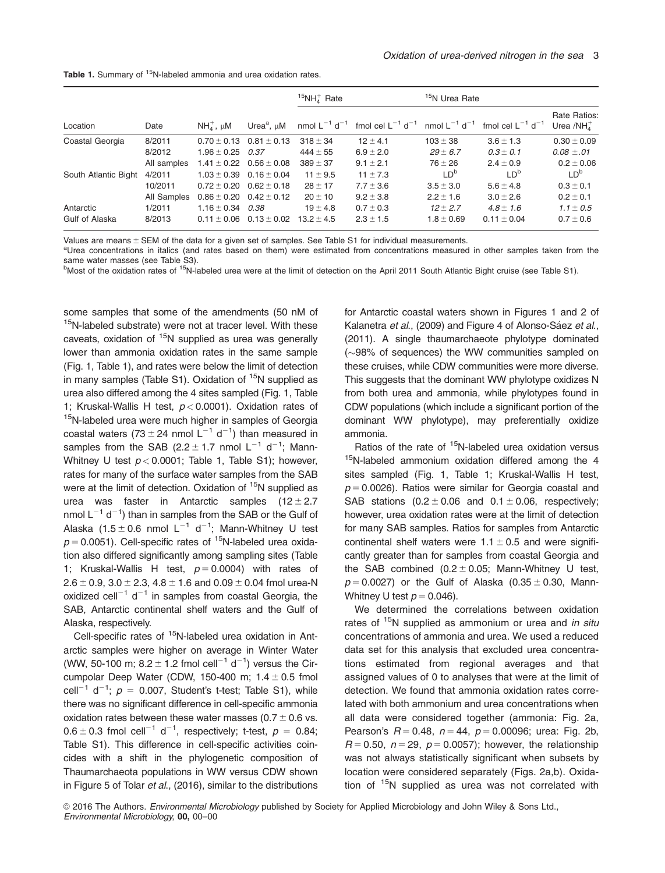|                      | Date        | $NH4+$ , $\mu$ M | Urea <sup>a</sup> , $\mu$ M     | $15NH4$ Rate                  |                                   | <sup>15</sup> N Urea Rate     |                                   |                                 |
|----------------------|-------------|------------------|---------------------------------|-------------------------------|-----------------------------------|-------------------------------|-----------------------------------|---------------------------------|
| Location             |             |                  |                                 | nmol $L^{-1}$ d <sup>-1</sup> | fmol cel $L^{-1}$ d <sup>-1</sup> | nmol $L^{-1}$ d <sup>-1</sup> | fmol cel $L^{-1}$ d <sup>-1</sup> | Rate Ratios:<br>Urea /NH $_A^+$ |
| Coastal Georgia      | 8/2011      |                  | $0.70 \pm 0.13$ $0.81 \pm 0.13$ | $318 \pm 34$                  | $12 \pm 4.1$                      | $103 \pm 38$                  | $3.6 \pm 1.3$                     | $0.30 \pm 0.09$                 |
|                      | 8/2012      | $1.96 \pm 0.25$  | 0.37                            | $444 \pm 55$                  | $6.9 \pm 2.0$                     | $29 \pm 6.7$                  | $0.3 \pm 0.1$                     | $0.08 \pm .01$                  |
|                      | All samples |                  | $1.41 \pm 0.22$ $0.56 \pm 0.08$ | $389 \pm 37$                  | $9.1 \pm 2.1$                     | $76 \pm 26$                   | $2.4 \pm 0.9$                     | $0.2 \pm 0.06$                  |
| South Atlantic Bight | 4/2011      |                  | $1.03 \pm 0.39$ 0.16 $\pm$ 0.04 | $11 \pm 9.5$                  | $11 \pm 7.3$                      | LD <sup>b</sup>               | ID <sup>b</sup>                   | LD <sup>b</sup>                 |
|                      | 10/2011     |                  | $0.72 \pm 0.20$ $0.62 \pm 0.18$ | $28 \pm 17$                   | $7.7 \pm 3.6$                     | $3.5 \pm 3.0$                 | $5.6 \pm 4.8$                     | $0.3 \pm 0.1$                   |
|                      | All Samples |                  | $0.86 \pm 0.20$ $0.42 \pm 0.12$ | $20 \pm 10$                   | $9.2 \pm 3.8$                     | $2.2 \pm 1.6$                 | $3.0 \pm 2.6$                     | $0.2 \pm 0.1$                   |
| Antarctic            | 1/2011      | $1.16 \pm 0.34$  | 0.38                            | $19 \pm 4.8$                  | $0.7 \pm 0.3$                     | $12 \pm 2.7$                  | $4.8 \pm 1.6$                     | $1.1 \pm 0.5$                   |
| Gulf of Alaska       | 8/2013      |                  | $0.11 \pm 0.06$ $0.13 \pm 0.02$ | $13.2 \pm 4.5$                | $2.3 \pm 1.5$                     | $1.8 \pm 0.69$                | $0.11 \pm 0.04$                   | $0.7 \pm 0.6$                   |

Values are means  $\pm$  SEM of the data for a given set of samples. See Table S1 for individual measurements.

<sup>a</sup>Urea concentrations in italics (and rates based on them) were estimated from concentrations measured in other samples taken from the same water masses (see Table S3).

<sup>b</sup>Most of the oxidation rates of <sup>15</sup>N-labeled urea were at the limit of detection on the April 2011 South Atlantic Bight cruise (see Table S1).

some samples that some of the amendments (50 nM of <sup>15</sup>N-labeled substrate) were not at tracer level. With these caveats, oxidation of  $15N$  supplied as urea was generally lower than ammonia oxidation rates in the same sample (Fig. 1, Table 1), and rates were below the limit of detection in many samples (Table S1). Oxidation of  $15N$  supplied as urea also differed among the 4 sites sampled (Fig. 1, Table 1; Kruskal-Wallis H test,  $p < 0.0001$ ). Oxidation rates of <sup>15</sup>N-labeled urea were much higher in samples of Georgia coastal waters (73  $\pm$  24 nmol L<sup>-1</sup> d<sup>-1</sup>) than measured in samples from the SAB (2.2  $\pm$  1.7 nmol L<sup>-1</sup> d<sup>-1</sup>; Mann-Whitney U test  $p < 0.0001$ ; Table 1, Table S1); however, rates for many of the surface water samples from the SAB were at the limit of detection. Oxidation of <sup>15</sup>N supplied as urea was faster in Antarctic samples  $(12 \pm 2.7)$ nmol  $L^{-1}$  d<sup>-1</sup>) than in samples from the SAB or the Gulf of Alaska (1.5  $\pm$  0.6 nmol L<sup>-1</sup> d<sup>-1</sup>; Mann-Whitney U test  $p = 0.0051$ ). Cell-specific rates of <sup>15</sup>N-labeled urea oxidation also differed significantly among sampling sites (Table 1; Kruskal-Wallis H test,  $p = 0.0004$ ) with rates of  $2.6 \pm 0.9$ ,  $3.0 \pm 2.3$ ,  $4.8 \pm 1.6$  and  $0.09 \pm 0.04$  fmol urea-N oxidized cell<sup>-1</sup> d<sup>-1</sup> in samples from coastal Georgia, the SAB, Antarctic continental shelf waters and the Gulf of Alaska, respectively.

Cell-specific rates of <sup>15</sup>N-labeled urea oxidation in Antarctic samples were higher on average in Winter Water (WW, 50-100 m;  $8.2 \pm 1.2$  fmol cell<sup>-1</sup> d<sup>-1</sup>) versus the Circumpolar Deep Water (CDW, 150-400 m;  $1.4 \pm 0.5$  fmol cell<sup>-1</sup> d<sup>-1</sup>;  $p = 0.007$ , Student's t-test; Table S1), while there was no significant difference in cell-specific ammonia oxidation rates between these water masses  $(0.7 \pm 0.6 \text{ vs.})$  $0.6 \pm 0.3$  fmol cell<sup>-1</sup> d<sup>-1</sup>, respectively; t-test,  $p = 0.84$ ; Table S1). This difference in cell-specific activities coincides with a shift in the phylogenetic composition of Thaumarchaeota populations in WW versus CDW shown in Figure 5 of Tolar et al., (2016), similar to the distributions for Antarctic coastal waters shown in Figures 1 and 2 of Kalanetra et al., (2009) and Figure 4 of Alonso-Sáez et al., (2011). A single thaumarchaeote phylotype dominated  $(\sim)98\%$  of sequences) the WW communities sampled on these cruises, while CDW communities were more diverse. This suggests that the dominant WW phylotype oxidizes N from both urea and ammonia, while phylotypes found in CDW populations (which include a significant portion of the dominant WW phylotype), may preferentially oxidize ammonia.

Ratios of the rate of <sup>15</sup>N-labeled urea oxidation versus <sup>15</sup>N-labeled ammonium oxidation differed among the 4 sites sampled (Fig. 1, Table 1; Kruskal-Wallis H test,  $p = 0.0026$ ). Ratios were similar for Georgia coastal and SAB stations  $(0.2 \pm 0.06$  and  $0.1 \pm 0.06$ , respectively; however, urea oxidation rates were at the limit of detection for many SAB samples. Ratios for samples from Antarctic continental shelf waters were  $1.1 \pm 0.5$  and were significantly greater than for samples from coastal Georgia and the SAB combined  $(0.2 \pm 0.05;$  Mann-Whitney U test,  $p = 0.0027$ ) or the Gulf of Alaska (0.35  $\pm$  0.30, Mann-Whitney U test  $p = 0.046$ ).

We determined the correlations between oxidation rates of  $15N$  supplied as ammonium or urea and in situ concentrations of ammonia and urea. We used a reduced data set for this analysis that excluded urea concentrations estimated from regional averages and that assigned values of 0 to analyses that were at the limit of detection. We found that ammonia oxidation rates correlated with both ammonium and urea concentrations when all data were considered together (ammonia: Fig. 2a, Pearson's  $R = 0.48$ ,  $n = 44$ ,  $p = 0.00096$ ; urea: Fig. 2b,  $R = 0.50$ ,  $n = 29$ ,  $p = 0.0057$ ; however, the relationship was not always statistically significant when subsets by location were considered separately (Figs. 2a,b). Oxidation of  $15N$  supplied as urea was not correlated with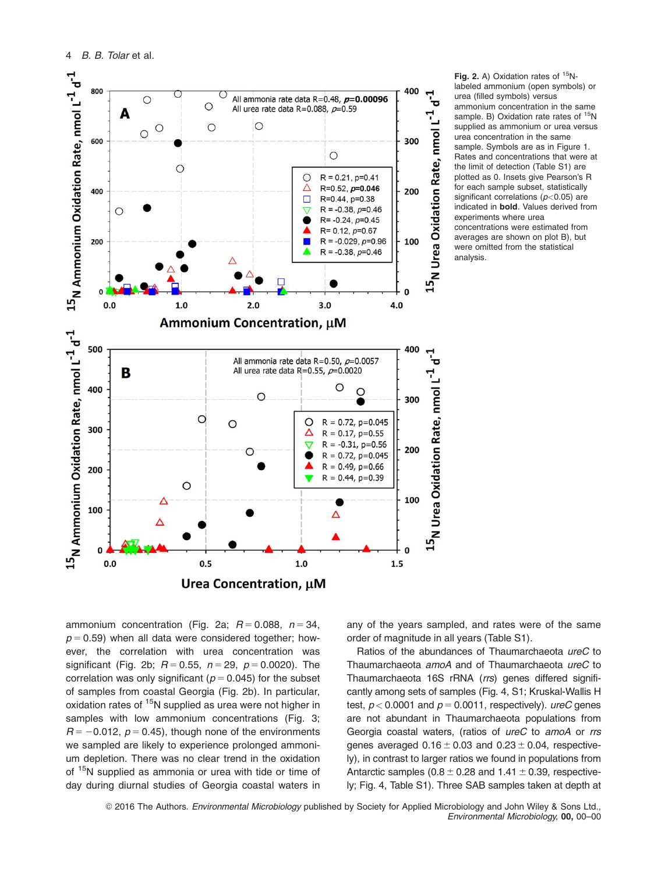

Fig. 2. A) Oxidation rates of  $15N$ labeled ammonium (open symbols) or urea (filled symbols) versus ammonium concentration in the same sample. B) Oxidation rate rates of <sup>15</sup>N supplied as ammonium or urea versus urea concentration in the same sample. Symbols are as in Figure 1. Rates and concentrations that were at the limit of detection (Table S1) are plotted as 0. Insets give Pearson's R for each sample subset, statistically significant correlations ( $p$ <0.05) are indicated in bold. Values derived from experiments where urea concentrations were estimated from averages are shown on plot B), but were omitted from the statistical analysis.

ammonium concentration (Fig. 2a;  $R = 0.088$ ,  $n = 34$ ,  $p = 0.59$ ) when all data were considered together; however, the correlation with urea concentration was significant (Fig. 2b;  $R = 0.55$ ,  $n = 29$ ,  $p = 0.0020$ ). The correlation was only significant ( $p = 0.045$ ) for the subset of samples from coastal Georgia (Fig. 2b). In particular, oxidation rates of <sup>15</sup>N supplied as urea were not higher in samples with low ammonium concentrations (Fig. 3;  $R = -0.012$ ,  $p = 0.45$ ), though none of the environments we sampled are likely to experience prolonged ammonium depletion. There was no clear trend in the oxidation of <sup>15</sup>N supplied as ammonia or urea with tide or time of day during diurnal studies of Georgia coastal waters in

any of the years sampled, and rates were of the same order of magnitude in all years (Table S1).

Ratios of the abundances of Thaumarchaeota ureC to Thaumarchaeota amoA and of Thaumarchaeota ureC to Thaumarchaeota 16S rRNA (rrs) genes differed significantly among sets of samples (Fig. 4, S1; Kruskal-Wallis H test,  $p < 0.0001$  and  $p = 0.0011$ , respectively). ureC genes are not abundant in Thaumarchaeota populations from Georgia coastal waters, (ratios of ureC to amoA or rrs genes averaged  $0.16 \pm 0.03$  and  $0.23 \pm 0.04$ , respectively), in contrast to larger ratios we found in populations from Antarctic samples ( $0.8 \pm 0.28$  and  $1.41 \pm 0.39$ , respectively; Fig. 4, Table S1). Three SAB samples taken at depth at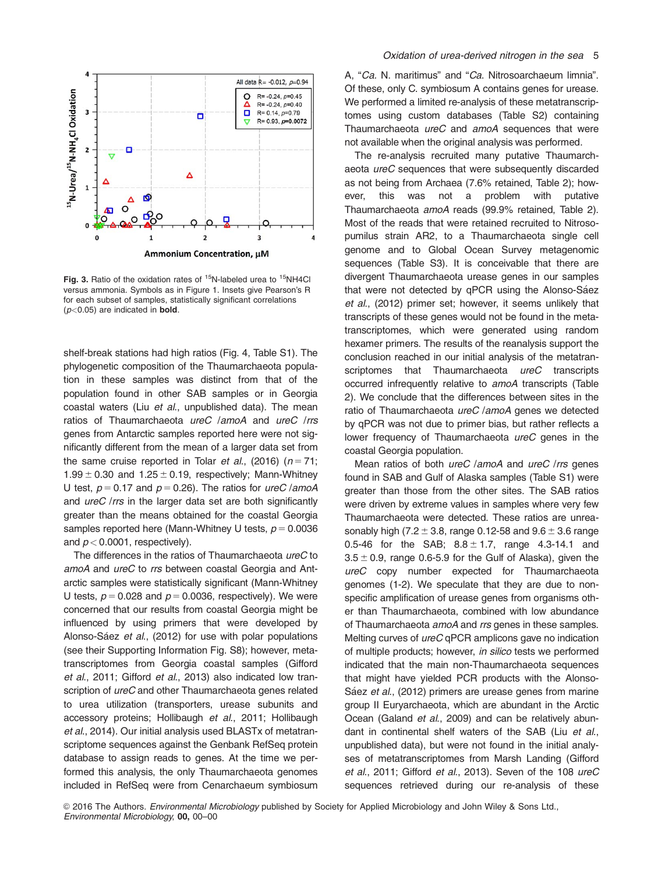

Fig. 3. Ratio of the oxidation rates of  $15N$ -labeled urea to  $15NH4CI$ versus ammonia. Symbols as in Figure 1. Insets give Pearson's R for each subset of samples, statistically significant correlations  $(p<0.05)$  are indicated in **bold**.

shelf-break stations had high ratios (Fig. 4, Table S1). The phylogenetic composition of the Thaumarchaeota population in these samples was distinct from that of the population found in other SAB samples or in Georgia coastal waters (Liu et al., unpublished data). The mean ratios of Thaumarchaeota ureC /amoA and ureC /rrs genes from Antarctic samples reported here were not significantly different from the mean of a larger data set from the same cruise reported in Tolar et al., (2016) ( $n = 71$ ; 1.99  $\pm$  0.30 and 1.25  $\pm$  0.19, respectively; Mann-Whitney U test,  $p = 0.17$  and  $p = 0.26$ ). The ratios for ureC /amoA and *ureC* /rrs in the larger data set are both significantly greater than the means obtained for the coastal Georgia samples reported here (Mann-Whitney U tests,  $p = 0.0036$ ) and  $p < 0.0001$ , respectively).

The differences in the ratios of Thaumarchaeota ureC to amoA and ureC to rrs between coastal Georgia and Antarctic samples were statistically significant (Mann-Whitney U tests,  $p = 0.028$  and  $p = 0.0036$ , respectively). We were concerned that our results from coastal Georgia might be influenced by using primers that were developed by Alonso-Sáez et al., (2012) for use with polar populations (see their Supporting Information Fig. S8); however, metatranscriptomes from Georgia coastal samples (Gifford et al., 2011; Gifford et al., 2013) also indicated low transcription of *ureC* and other Thaumarchaeota genes related to urea utilization (transporters, urease subunits and accessory proteins; Hollibaugh et al., 2011; Hollibaugh et al., 2014). Our initial analysis used BLASTx of metatranscriptome sequences against the Genbank RefSeq protein database to assign reads to genes. At the time we performed this analysis, the only Thaumarchaeota genomes included in RefSeq were from Cenarchaeum symbiosum A, "Ca. N. maritimus" and "Ca. Nitrosoarchaeum limnia". Of these, only C. symbiosum A contains genes for urease. We performed a limited re-analysis of these metatranscriptomes using custom databases (Table S2) containing Thaumarchaeota ureC and amoA sequences that were not available when the original analysis was performed.

The re-analysis recruited many putative Thaumarchaeota ureC sequences that were subsequently discarded as not being from Archaea (7.6% retained, Table 2); however, this was not a problem with putative Thaumarchaeota amoA reads (99.9% retained, Table 2). Most of the reads that were retained recruited to Nitrosopumilus strain AR2, to a Thaumarchaeota single cell genome and to Global Ocean Survey metagenomic sequences (Table S3). It is conceivable that there are divergent Thaumarchaeota urease genes in our samples that were not detected by qPCR using the Alonso-Sáez et al., (2012) primer set; however, it seems unlikely that transcripts of these genes would not be found in the metatranscriptomes, which were generated using random hexamer primers. The results of the reanalysis support the conclusion reached in our initial analysis of the metatranscriptomes that Thaumarchaeota ureC transcripts occurred infrequently relative to amoA transcripts (Table 2). We conclude that the differences between sites in the ratio of Thaumarchaeota ureC /amoA genes we detected by qPCR was not due to primer bias, but rather reflects a lower frequency of Thaumarchaeota ureC genes in the coastal Georgia population.

Mean ratios of both *ureC* /amoA and *ureC* /rrs genes found in SAB and Gulf of Alaska samples (Table S1) were greater than those from the other sites. The SAB ratios were driven by extreme values in samples where very few Thaumarchaeota were detected. These ratios are unreasonably high (7.2  $\pm$  3.8, range 0.12-58 and 9.6  $\pm$  3.6 range 0.5-46 for the SAB;  $8.8 \pm 1.7$ , range 4.3-14.1 and  $3.5 \pm 0.9$ , range 0.6-5.9 for the Gulf of Alaska), given the ureC copy number expected for Thaumarchaeota genomes (1-2). We speculate that they are due to nonspecific amplification of urease genes from organisms other than Thaumarchaeota, combined with low abundance of Thaumarchaeota amoA and rrs genes in these samples. Melting curves of ureC qPCR amplicons gave no indication of multiple products; however, in silico tests we performed indicated that the main non-Thaumarchaeota sequences that might have yielded PCR products with the Alonso-Sáez et al., (2012) primers are urease genes from marine group II Euryarchaeota, which are abundant in the Arctic Ocean (Galand et al., 2009) and can be relatively abundant in continental shelf waters of the SAB (Liu et al., unpublished data), but were not found in the initial analyses of metatranscriptomes from Marsh Landing (Gifford et al., 2011; Gifford et al., 2013). Seven of the 108 ureC sequences retrieved during our re-analysis of these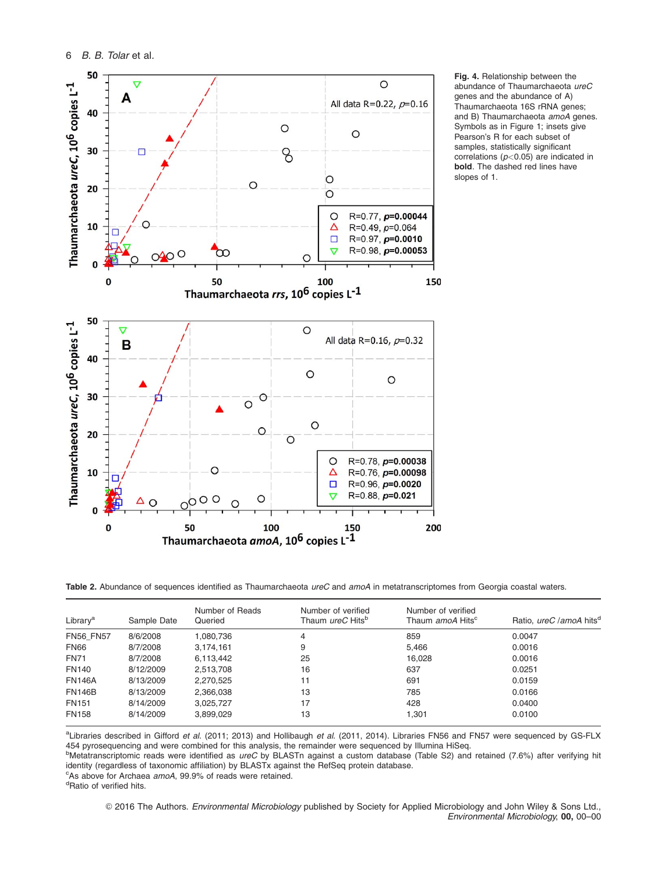

Fig. 4. Relationship between the abundance of Thaumarchaeota ureC genes and the abundance of A) Thaumarchaeota 16S rRNA genes; and B) Thaumarchaeota amoA genes. Symbols as in Figure 1; insets give Pearson's R for each subset of samples, statistically significant correlations ( $p$ <0.05) are indicated in bold. The dashed red lines have slopes of 1.

Table 2. Abundance of sequences identified as Thaumarchaeota ureC and amoA in metatranscriptomes from Georgia coastal waters.

| Library <sup>a</sup> | Sample Date | Number of Reads<br>Queried | Number of verified<br>Thaum <i>ureC</i> Hits <sup>b</sup> | Number of verified<br>Thaum amoA Hits <sup>c</sup> | Ratio, ureC / amo A hits <sup>d</sup> |
|----------------------|-------------|----------------------------|-----------------------------------------------------------|----------------------------------------------------|---------------------------------------|
| <b>FN56 FN57</b>     | 8/6/2008    | 1,080,736                  | 4                                                         | 859                                                | 0.0047                                |
| <b>FN66</b>          | 8/7/2008    | 3,174,161                  | 9                                                         | 5.466                                              | 0.0016                                |
| <b>FN71</b>          | 8/7/2008    | 6,113,442                  | 25                                                        | 16.028                                             | 0.0016                                |
| <b>FN140</b>         | 8/12/2009   | 2,513,708                  | 16                                                        | 637                                                | 0.0251                                |
| <b>FN146A</b>        | 8/13/2009   | 2,270,525                  | 11                                                        | 691                                                | 0.0159                                |
| <b>FN146B</b>        | 8/13/2009   | 2,366,038                  | 13                                                        | 785                                                | 0.0166                                |
| <b>FN151</b>         | 8/14/2009   | 3,025,727                  | 17                                                        | 428                                                | 0.0400                                |
| <b>FN158</b>         | 8/14/2009   | 3,899,029                  | 13                                                        | 1.301                                              | 0.0100                                |

aLibraries described in Gifford et al. (2011; 2013) and Hollibaugh et al. (2011, 2014). Libraries FN56 and FN57 were sequenced by GS-FLX 454 pyrosequencing and were combined for this analysis, the remainder were sequenced by Illumina HiSeq.

<sup>b</sup>Metatranscriptomic reads were identified as ureC by BLASTn against a custom database (Table S2) and retained (7.6%) after verifying hit identity (regardless of taxonomic affiliation) by BLASTx against the RefSeq protein database.

<sup>c</sup>As above for Archaea *amoA*, 99.9% of reads were retained.

<sup>d</sup>Ratio of verified hits.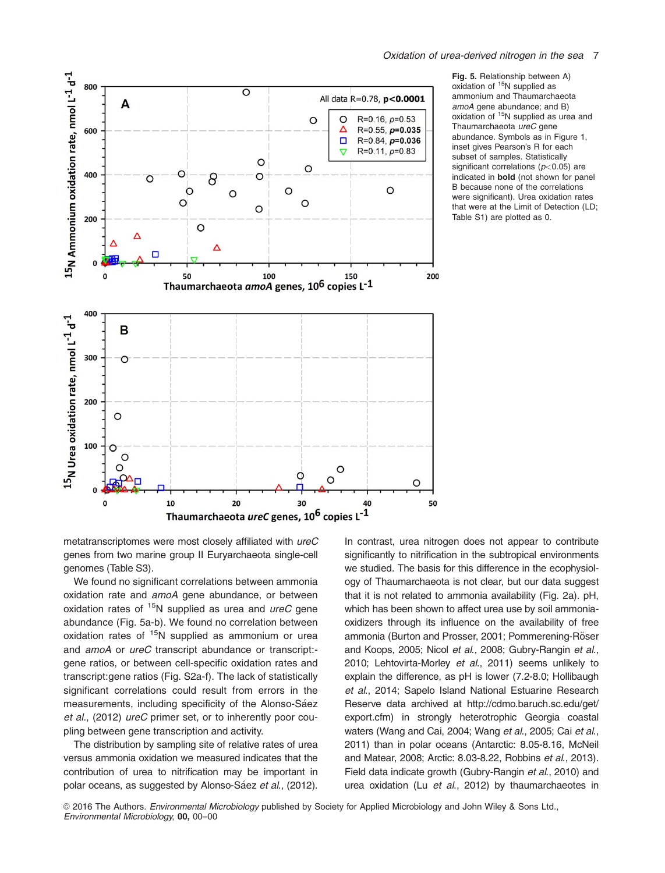

Fig. 5. Relationship between A) oxidation of 15N supplied as ammonium and Thaumarchaeota amoA gene abundance; and B) oxidation of <sup>15</sup>N supplied as urea and Thaumarchaeota ureC gene abundance. Symbols as in Figure 1, inset gives Pearson's R for each subset of samples. Statistically significant correlations ( $p$ <0.05) are indicated in bold (not shown for panel B because none of the correlations were significant). Urea oxidation rates that were at the Limit of Detection (LD; Table S1) are plotted as 0.

metatranscriptomes were most closely affiliated with ureC genes from two marine group II Euryarchaeota single-cell genomes (Table S3).

We found no significant correlations between ammonia oxidation rate and amoA gene abundance, or between oxidation rates of  $15N$  supplied as urea and *ureC* gene abundance (Fig. 5a-b). We found no correlation between oxidation rates of  $15N$  supplied as ammonium or urea and *amoA* or *ureC* transcript abundance or transcript:gene ratios, or between cell-specific oxidation rates and transcript:gene ratios (Fig. S2a-f). The lack of statistically significant correlations could result from errors in the measurements, including specificity of the Alonso-Sáez et al., (2012) ureC primer set, or to inherently poor coupling between gene transcription and activity.

The distribution by sampling site of relative rates of urea versus ammonia oxidation we measured indicates that the contribution of urea to nitrification may be important in polar oceans, as suggested by Alonso-Sáez et al., (2012).

In contrast, urea nitrogen does not appear to contribute significantly to nitrification in the subtropical environments we studied. The basis for this difference in the ecophysiology of Thaumarchaeota is not clear, but our data suggest that it is not related to ammonia availability (Fig. 2a). pH, which has been shown to affect urea use by soil ammoniaoxidizers through its influence on the availability of free ammonia (Burton and Prosser, 2001; Pommerening-Röser and Koops, 2005; Nicol et al., 2008; Gubry-Rangin et al., 2010; Lehtovirta-Morley et al., 2011) seems unlikely to explain the difference, as pH is lower (7.2-8.0; Hollibaugh et al., 2014; Sapelo Island National Estuarine Research Reserve data archived at [http://cdmo.baruch.sc.edu/get/](http://cdmo.baruch.sc.edu/get/export.cfm) [export.cfm\)](http://cdmo.baruch.sc.edu/get/export.cfm) in strongly heterotrophic Georgia coastal waters (Wang and Cai, 2004; Wang et al., 2005; Cai et al., 2011) than in polar oceans (Antarctic: 8.05-8.16, McNeil and Matear, 2008; Arctic: 8.03-8.22, Robbins et al., 2013). Field data indicate growth (Gubry-Rangin et al., 2010) and urea oxidation (Lu et al., 2012) by thaumarchaeotes in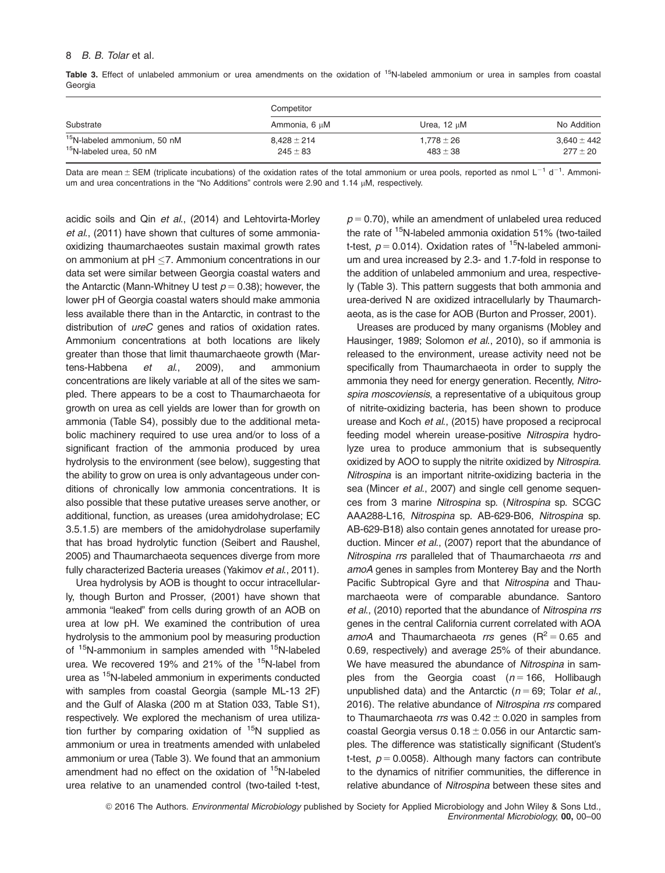#### 8 B. B. Tolar et al.

Table 3. Effect of unlabeled ammonium or urea amendments on the oxidation of <sup>15</sup>N-labeled ammonium or urea in samples from coastal Georgia

|                                         | Competitor      |                  |                 |  |  |
|-----------------------------------------|-----------------|------------------|-----------------|--|--|
| Substrate                               | Ammonia, 6 µM   | Urea, $12 \mu M$ | No Addition     |  |  |
| <sup>15</sup> N-labeled ammonium, 50 nM | $8,428 \pm 214$ | $1,778 \pm 26$   | $3.640 \pm 442$ |  |  |
| <sup>15</sup> N-labeled urea, 50 nM     | $245 \pm 83$    | $483 \pm 38$     | $277 \pm 20$    |  |  |

Data are mean  $\pm$  SEM (triplicate incubations) of the oxidation rates of the total ammonium or urea pools, reported as nmol  $L^{-1}$  d<sup>-1</sup>. Ammonium and urea concentrations in the "No Additions" controls were 2.90 and 1.14  $\mu$ M, respectively.

acidic soils and Qin et al., (2014) and Lehtovirta-Morley et al., (2011) have shown that cultures of some ammoniaoxidizing thaumarchaeotes sustain maximal growth rates on ammonium at  $pH < 7$ . Ammonium concentrations in our data set were similar between Georgia coastal waters and the Antarctic (Mann-Whitney U test  $p = 0.38$ ); however, the lower pH of Georgia coastal waters should make ammonia less available there than in the Antarctic, in contrast to the distribution of *ureC* genes and ratios of oxidation rates. Ammonium concentrations at both locations are likely greater than those that limit thaumarchaeote growth (Martens-Habbena et al., 2009), and ammonium concentrations are likely variable at all of the sites we sampled. There appears to be a cost to Thaumarchaeota for growth on urea as cell yields are lower than for growth on ammonia (Table S4), possibly due to the additional metabolic machinery required to use urea and/or to loss of a significant fraction of the ammonia produced by urea hydrolysis to the environment (see below), suggesting that the ability to grow on urea is only advantageous under conditions of chronically low ammonia concentrations. It is also possible that these putative ureases serve another, or additional, function, as ureases (urea amidohydrolase; EC 3.5.1.5) are members of the amidohydrolase superfamily that has broad hydrolytic function (Seibert and Raushel, 2005) and Thaumarchaeota sequences diverge from more fully characterized Bacteria ureases (Yakimov et al., 2011).

Urea hydrolysis by AOB is thought to occur intracellularly, though Burton and Prosser, (2001) have shown that ammonia "leaked" from cells during growth of an AOB on urea at low pH. We examined the contribution of urea hydrolysis to the ammonium pool by measuring production of <sup>15</sup>N-ammonium in samples amended with <sup>15</sup>N-labeled urea. We recovered 19% and 21% of the <sup>15</sup>N-label from urea as <sup>15</sup>N-labeled ammonium in experiments conducted with samples from coastal Georgia (sample ML-13 2F) and the Gulf of Alaska (200 m at Station 033, Table S1), respectively. We explored the mechanism of urea utilization further by comparing oxidation of  $15N$  supplied as ammonium or urea in treatments amended with unlabeled ammonium or urea (Table 3). We found that an ammonium amendment had no effect on the oxidation of <sup>15</sup>N-labeled urea relative to an unamended control (two-tailed t-test,

 $p = 0.70$ , while an amendment of unlabeled urea reduced the rate of <sup>15</sup>N-labeled ammonia oxidation 51% (two-tailed t-test,  $p = 0.014$ ). Oxidation rates of <sup>15</sup>N-labeled ammonium and urea increased by 2.3- and 1.7-fold in response to the addition of unlabeled ammonium and urea, respectively (Table 3). This pattern suggests that both ammonia and urea-derived N are oxidized intracellularly by Thaumarchaeota, as is the case for AOB (Burton and Prosser, 2001).

Ureases are produced by many organisms (Mobley and Hausinger, 1989; Solomon et al., 2010), so if ammonia is released to the environment, urease activity need not be specifically from Thaumarchaeota in order to supply the ammonia they need for energy generation. Recently, Nitrospira moscoviensis, a representative of a ubiquitous group of nitrite-oxidizing bacteria, has been shown to produce urease and Koch et al., (2015) have proposed a reciprocal feeding model wherein urease-positive Nitrospira hydrolyze urea to produce ammonium that is subsequently oxidized by AOO to supply the nitrite oxidized by Nitrospira. Nitrospina is an important nitrite-oxidizing bacteria in the sea (Mincer et al., 2007) and single cell genome sequences from 3 marine Nitrospina sp. (Nitrospina sp. SCGC AAA288-L16, Nitrospina sp. AB-629-B06, Nitrospina sp. AB-629-B18) also contain genes annotated for urease production. Mincer et al., (2007) report that the abundance of Nitrospina rrs paralleled that of Thaumarchaeota rrs and amoA genes in samples from Monterey Bay and the North Pacific Subtropical Gyre and that Nitrospina and Thaumarchaeota were of comparable abundance. Santoro et al., (2010) reported that the abundance of Nitrospina rrs genes in the central California current correlated with AOA amoA and Thaumarchaeota rrs genes ( $R^2 = 0.65$  and 0.69, respectively) and average 25% of their abundance. We have measured the abundance of Nitrospina in samples from the Georgia coast  $(n = 166,$  Hollibaugh unpublished data) and the Antarctic ( $n = 69$ ; Tolar et al., 2016). The relative abundance of Nitrospina rrs compared to Thaumarchaeota rrs was  $0.42 \pm 0.020$  in samples from coastal Georgia versus  $0.18 \pm 0.056$  in our Antarctic samples. The difference was statistically significant (Student's t-test,  $p = 0.0058$ ). Although many factors can contribute to the dynamics of nitrifier communities, the difference in relative abundance of Nitrospina between these sites and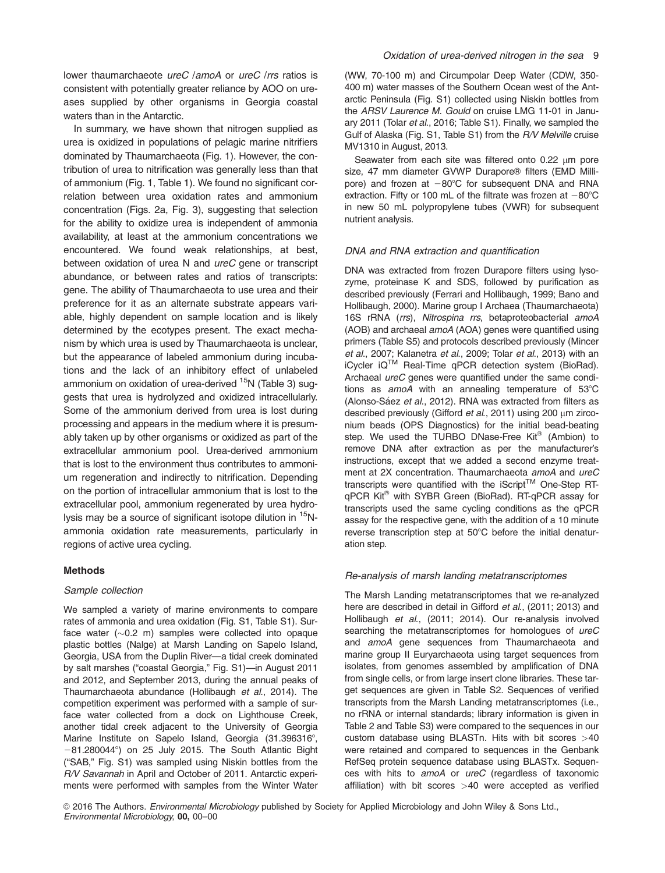lower thaumarchaeote *ureC* /amoA or *ureC* /rrs ratios is consistent with potentially greater reliance by AOO on ureases supplied by other organisms in Georgia coastal waters than in the Antarctic.

In summary, we have shown that nitrogen supplied as urea is oxidized in populations of pelagic marine nitrifiers dominated by Thaumarchaeota (Fig. 1). However, the contribution of urea to nitrification was generally less than that of ammonium (Fig. 1, Table 1). We found no significant correlation between urea oxidation rates and ammonium concentration (Figs. 2a, Fig. 3), suggesting that selection for the ability to oxidize urea is independent of ammonia availability, at least at the ammonium concentrations we encountered. We found weak relationships, at best, between oxidation of urea N and ureC gene or transcript abundance, or between rates and ratios of transcripts: gene. The ability of Thaumarchaeota to use urea and their preference for it as an alternate substrate appears variable, highly dependent on sample location and is likely determined by the ecotypes present. The exact mechanism by which urea is used by Thaumarchaeota is unclear, but the appearance of labeled ammonium during incubations and the lack of an inhibitory effect of unlabeled ammonium on oxidation of urea-derived <sup>15</sup>N (Table 3) suggests that urea is hydrolyzed and oxidized intracellularly. Some of the ammonium derived from urea is lost during processing and appears in the medium where it is presumably taken up by other organisms or oxidized as part of the extracellular ammonium pool. Urea-derived ammonium that is lost to the environment thus contributes to ammonium regeneration and indirectly to nitrification. Depending on the portion of intracellular ammonium that is lost to the extracellular pool, ammonium regenerated by urea hydrolysis may be a source of significant isotope dilution in 15Nammonia oxidation rate measurements, particularly in regions of active urea cycling.

#### Methods

#### Sample collection

We sampled a variety of marine environments to compare rates of ammonia and urea oxidation (Fig. S1, Table S1). Surface water ( $\sim$ 0.2 m) samples were collected into opaque plastic bottles (Nalge) at Marsh Landing on Sapelo Island, Georgia, USA from the Duplin River—a tidal creek dominated by salt marshes ("coastal Georgia," Fig. S1)—in August 2011 and 2012, and September 2013, during the annual peaks of Thaumarchaeota abundance (Hollibaugh et al., 2014). The competition experiment was performed with a sample of surface water collected from a dock on Lighthouse Creek, another tidal creek adjacent to the University of Georgia Marine Institute on Sapelo Island, Georgia (31.396316°,  $-81.280044^\circ$ ) on 25 July 2015. The South Atlantic Bight ("SAB," Fig. S1) was sampled using Niskin bottles from the R/V Savannah in April and October of 2011. Antarctic experiments were performed with samples from the Winter Water

(WW, 70-100 m) and Circumpolar Deep Water (CDW, 350- 400 m) water masses of the Southern Ocean west of the Antarctic Peninsula (Fig. S1) collected using Niskin bottles from the ARSV Laurence M. Gould on cruise LMG 11-01 in January 2011 (Tolar et al., 2016; Table S1). Finally, we sampled the Gulf of Alaska (Fig. S1, Table S1) from the R/V Melville cruise MV1310 in August, 2013.

Seawater from each site was filtered onto  $0.22 \mu m$  pore size, 47 mm diameter GVWP Durapore® filters (EMD Millipore) and frozen at  $-80^{\circ}$ C for subsequent DNA and RNA extraction. Fifty or 100 mL of the filtrate was frozen at  $-80^{\circ}$ C in new 50 mL polypropylene tubes (VWR) for subsequent nutrient analysis.

#### DNA and RNA extraction and quantification

DNA was extracted from frozen Durapore filters using lysozyme, proteinase K and SDS, followed by purification as described previously (Ferrari and Hollibaugh, 1999; Bano and Hollibaugh, 2000). Marine group I Archaea (Thaumarchaeota) 16S rRNA (rrs), Nitrospina rrs, betaproteobacterial amoA (AOB) and archaeal amoA (AOA) genes were quantified using primers (Table S5) and protocols described previously (Mincer et al., 2007; Kalanetra et al., 2009; Tolar et al., 2013) with an iCycler iQTM Real-Time qPCR detection system (BioRad). Archaeal *ureC* genes were quantified under the same conditions as amoA with an annealing temperature of  $53^{\circ}$ C (Alonso-Sáez et al., 2012). RNA was extracted from filters as described previously (Gifford et al., 2011) using 200  $\mu$ m zirconium beads (OPS Diagnostics) for the initial bead-beating step. We used the TURBO DNase-Free Kit® (Ambion) to remove DNA after extraction as per the manufacturer's instructions, except that we added a second enzyme treatment at 2X concentration. Thaumarchaeota amoA and ureC transcripts were quantified with the  $i$ Script<sup>TM</sup> One-Step RTqPCR Kit® with SYBR Green (BioRad). RT-qPCR assay for transcripts used the same cycling conditions as the qPCR assay for the respective gene, with the addition of a 10 minute reverse transcription step at 50°C before the initial denaturation step.

#### Re-analysis of marsh landing metatranscriptomes

The Marsh Landing metatranscriptomes that we re-analyzed here are described in detail in Gifford et al., (2011; 2013) and Hollibaugh et al., (2011; 2014). Our re-analysis involved searching the metatranscriptomes for homologues of ureC and amoA gene sequences from Thaumarchaeota and marine group II Euryarchaeota using target sequences from isolates, from genomes assembled by amplification of DNA from single cells, or from large insert clone libraries. These target sequences are given in Table S2. Sequences of verified transcripts from the Marsh Landing metatranscriptomes (i.e., no rRNA or internal standards; library information is given in Table 2 and Table S3) were compared to the sequences in our custom database using BLASTn. Hits with bit scores >40 were retained and compared to sequences in the Genbank RefSeq protein sequence database using BLASTx. Sequences with hits to amoA or ureC (regardless of taxonomic affiliation) with bit scores >40 were accepted as verified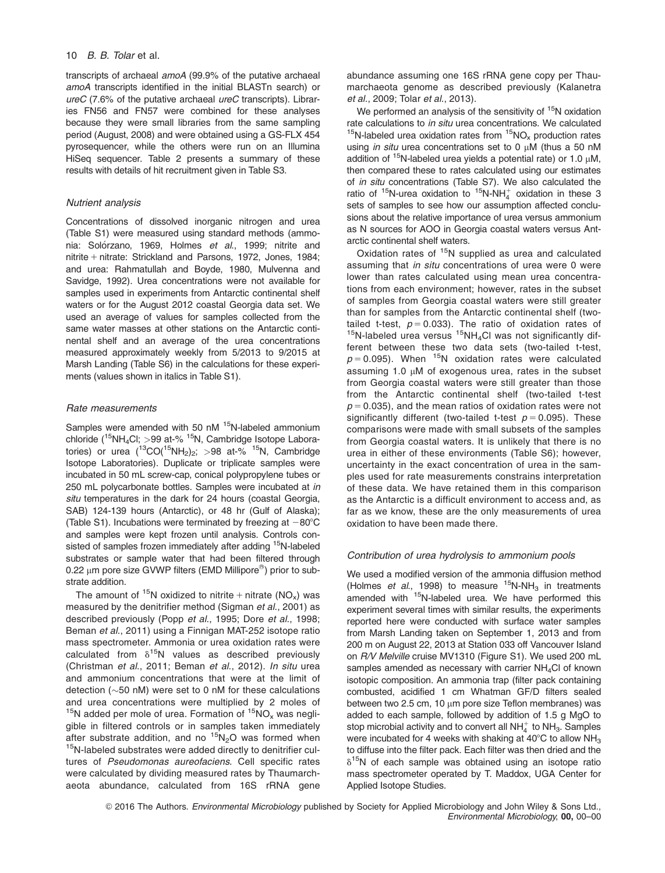#### 10 B. B. Tolar et al.

transcripts of archaeal amoA (99.9% of the putative archaeal amoA transcripts identified in the initial BLASTn search) or ureC (7.6% of the putative archaeal ureC transcripts). Libraries FN56 and FN57 were combined for these analyses because they were small libraries from the same sampling period (August, 2008) and were obtained using a GS-FLX 454 pyrosequencer, while the others were run on an Illumina HiSeq sequencer. Table 2 presents a summary of these results with details of hit recruitment given in Table S3.

#### Nutrient analysis

Concentrations of dissolved inorganic nitrogen and urea (Table S1) were measured using standard methods (ammonia: Solórzano, 1969, Holmes *et al.*, 1999; nitrite and nitrite + nitrate: Strickland and Parsons, 1972, Jones, 1984; and urea: Rahmatullah and Boyde, 1980, Mulvenna and Savidge, 1992). Urea concentrations were not available for samples used in experiments from Antarctic continental shelf waters or for the August 2012 coastal Georgia data set. We used an average of values for samples collected from the same water masses at other stations on the Antarctic continental shelf and an average of the urea concentrations measured approximately weekly from 5/2013 to 9/2015 at Marsh Landing (Table S6) in the calculations for these experiments (values shown in italics in Table S1).

#### Rate measurements

Samples were amended with 50 nM <sup>15</sup>N-labeled ammonium chloride ( $15NH_4C$ l; >99 at-%  $15N$ , Cambridge Isotope Laboratories) or urea  $(^{13}CO(^{15}NH<sub>2</sub>)<sub>2</sub>; >98$  at-%  $^{15}N$ , Cambridge Isotope Laboratories). Duplicate or triplicate samples were incubated in 50 mL screw-cap, conical polypropylene tubes or 250 mL polycarbonate bottles. Samples were incubated at in situ temperatures in the dark for 24 hours (coastal Georgia, SAB) 124-139 hours (Antarctic), or 48 hr (Gulf of Alaska); (Table S1). Incubations were terminated by freezing at  $-80^{\circ}$ C and samples were kept frozen until analysis. Controls consisted of samples frozen immediately after adding <sup>15</sup>N-labeled substrates or sample water that had been filtered through 0.22  $\mu$ m pore size GVWP filters (EMD Millipore $^\circledR$ ) prior to substrate addition.

The amount of <sup>15</sup>N oxidized to nitrite + nitrate (NO<sub>x</sub>) was measured by the denitrifier method (Sigman et al., 2001) as described previously (Popp et al., 1995; Dore et al., 1998; Beman et al., 2011) using a Finnigan MAT-252 isotope ratio mass spectrometer. Ammonia or urea oxidation rates were calculated from  $\delta^{15}N$  values as described previously (Christman et al., 2011; Beman et al., 2012). In situ urea and ammonium concentrations that were at the limit of detection ( $\sim$ 50 nM) were set to 0 nM for these calculations and urea concentrations were multiplied by 2 moles of <sup>15</sup>N added per mole of urea. Formation of  ${}^{15}NO_x$  was negligible in filtered controls or in samples taken immediately after substrate addition, and no  ${}^{15}N_2O$  was formed when  $15N$ -labeled substrates were added directly to denitrifier cultures of Pseudomonas aureofaciens. Cell specific rates were calculated by dividing measured rates by Thaumarchaeota abundance, calculated from 16S rRNA gene abundance assuming one 16S rRNA gene copy per Thaumarchaeota genome as described previously (Kalanetra et al., 2009; Tolar et al., 2013).

We performed an analysis of the sensitivity of  $15N$  oxidation<br>rate calculations to *in situ* urea concentrations. We calculated <sup>15</sup>N-labeled urea oxidation rates from  $15NO_x$  production rates using in situ urea concentrations set to 0  $\mu$ M (thus a 50 nM addition of <sup>15</sup>N-labeled urea yields a potential rate) or 1.0  $\mu$ M, then compared these to rates calculated using our estimates of in situ concentrations (Table S7). We also calculated the ratio of  $15N$ -urea oxidation to  $15N-NH_4^+$  oxidation in these 3 sets of samples to see how our assumption affected conclusions about the relative importance of urea versus ammonium as N sources for AOO in Georgia coastal waters versus Antarctic continental shelf waters.

Oxidation rates of 15N supplied as urea and calculated assuming that in situ concentrations of urea were 0 were lower than rates calculated using mean urea concentrations from each environment; however, rates in the subset of samples from Georgia coastal waters were still greater than for samples from the Antarctic continental shelf (two-<br>tailed t-test,  $p = 0.033$ ). The ratio of oxidation rates of  $15$ N-labeled urea versus  $15$ NH<sub>4</sub>Cl was not significantly different between these two data sets (two-tailed t-test,  $p = 0.095$ ). When <sup>15</sup>N oxidation rates were calculated assuming 1.0  $\mu$ M of exogenous urea, rates in the subset from Georgia coastal waters were still greater than those from the Antarctic continental shelf (two-tailed t-test  $p = 0.035$ ), and the mean ratios of oxidation rates were not significantly different (two-tailed t-test  $p = 0.095$ ). These comparisons were made with small subsets of the samples from Georgia coastal waters. It is unlikely that there is no urea in either of these environments (Table S6); however, uncertainty in the exact concentration of urea in the samples used for rate measurements constrains interpretation of these data. We have retained them in this comparison as the Antarctic is a difficult environment to access and, as far as we know, these are the only measurements of urea oxidation to have been made there.

#### Contribution of urea hydrolysis to ammonium pools

We used a modified version of the ammonia diffusion method (Holmes et al., 1998) to measure  $<sup>15</sup>N-NH<sub>3</sub>$  in treatments</sup> amended with <sup>15</sup>N-labeled urea. We have performed this experiment several times with similar results, the experiments reported here were conducted with surface water samples from Marsh Landing taken on September 1, 2013 and from 200 m on August 22, 2013 at Station 033 off Vancouver Island on R/V Melville cruise MV1310 (Figure S1). We used 200 mL samples amended as necessary with carrier NH<sub>4</sub>Cl of known isotopic composition. An ammonia trap (filter pack containing combusted, acidified 1 cm Whatman GF/D filters sealed between two 2.5 cm, 10  $\mu$ m pore size Teflon membranes) was added to each sample, followed by addition of 1.5 g MgO to stop microbial activity and to convert all  $NH_4^+$  to  $NH_3$ . Samples were incubated for 4 weeks with shaking at  $40^{\circ}$ C to allow NH<sub>3</sub> to diffuse into the filter pack. Each filter was then dried and the  $\delta^{15}$ N of each sample was obtained using an isotope ratio mass spectrometer operated by T. Maddox, UGA Center for Applied Isotope Studies.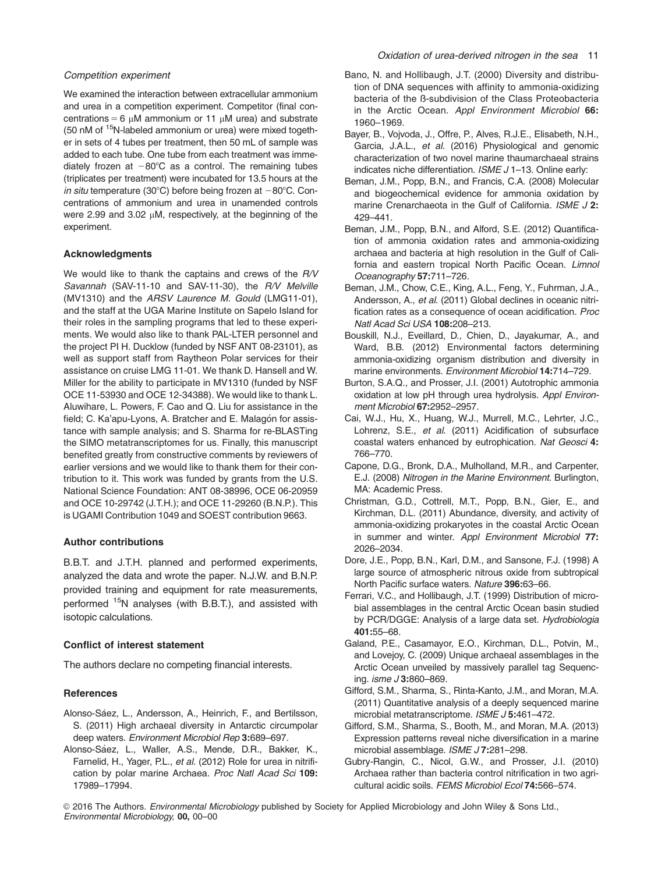We examined the interaction between extracellular ammonium and urea in a competition experiment. Competitor (final concentrations = 6  $\mu$ M ammonium or 11  $\mu$ M urea) and substrate (50 nM of <sup>15</sup>N-labeled ammonium or urea) were mixed together in sets of 4 tubes per treatment, then 50 mL of sample was added to each tube. One tube from each treatment was immediately frozen at  $-80^{\circ}$ C as a control. The remaining tubes (triplicates per treatment) were incubated for 13.5 hours at the in situ temperature (30°C) before being frozen at  $-80^{\circ}$ C. Concentrations of ammonium and urea in unamended controls were 2.99 and 3.02  $\mu$ M, respectively, at the beginning of the experiment.

#### Acknowledgments

We would like to thank the captains and crews of the R/V Savannah (SAV-11-10 and SAV-11-30), the R/V Melville (MV1310) and the ARSV Laurence M. Gould (LMG11-01), and the staff at the UGA Marine Institute on Sapelo Island for their roles in the sampling programs that led to these experiments. We would also like to thank PAL-LTER personnel and the project PI H. Ducklow (funded by NSF ANT 08-23101), as well as support staff from Raytheon Polar services for their assistance on cruise LMG 11-01. We thank D. Hansell and W. Miller for the ability to participate in MV1310 (funded by NSF OCE 11-53930 and OCE 12-34388). We would like to thank L. Aluwihare, L. Powers, F. Cao and Q. Liu for assistance in the field; C. Ka'apu-Lyons, A. Bratcher and E. Malagón for assistance with sample analysis; and S. Sharma for re-BLASTing the SIMO metatranscriptomes for us. Finally, this manuscript benefited greatly from constructive comments by reviewers of earlier versions and we would like to thank them for their contribution to it. This work was funded by grants from the U.S. National Science Foundation: ANT 08-38996, OCE 06-20959 and OCE 10-29742 (J.T.H.); and OCE 11-29260 (B.N.P.). This is UGAMI Contribution 1049 and SOEST contribution 9663.

## Author contributions

B.B.T. and J.T.H. planned and performed experiments, analyzed the data and wrote the paper. N.J.W. and B.N.P. provided training and equipment for rate measurements, performed <sup>15</sup>N analyses (with B.B.T.), and assisted with isotopic calculations.

#### Conflict of interest statement

The authors declare no competing financial interests.

## **References**

- Alonso-Sáez, L., Andersson, A., Heinrich, F., and Bertilsson, S. (2011) High archaeal diversity in Antarctic circumpolar deep waters. Environment Microbiol Rep 3:689-697.
- Alonso-Sáez, L., Waller, A.S., Mende, D.R., Bakker, K., Farnelid, H., Yager, P.L., et al. (2012) Role for urea in nitrification by polar marine Archaea. Proc Natl Acad Sci 109: 17989–17994.
- Bano, N. and Hollibaugh, J.T. (2000) Diversity and distribution of DNA sequences with affinity to ammonia-oxidizing bacteria of the ß-subdivision of the Class Proteobacteria in the Arctic Ocean. Appl Environment Microbiol 66: 1960–1969.
- Bayer, B., Vojvoda, J., Offre, P., Alves, R.J.E., Elisabeth, N.H., Garcia, J.A.L., et al. (2016) Physiological and genomic characterization of two novel marine thaumarchaeal strains indicates niche differentiation. ISME J 1–13. Online early:
- Beman, J.M., Popp, B.N., and Francis, C.A. (2008) Molecular and biogeochemical evidence for ammonia oxidation by marine Crenarchaeota in the Gulf of California. ISME J 2: 429–441.
- Beman, J.M., Popp, B.N., and Alford, S.E. (2012) Quantification of ammonia oxidation rates and ammonia-oxidizing archaea and bacteria at high resolution in the Gulf of California and eastern tropical North Pacific Ocean. Limnol Oceanography 57:711–726.
- Beman, J.M., Chow, C.E., King, A.L., Feng, Y., Fuhrman, J.A., Andersson, A., et al. (2011) Global declines in oceanic nitrification rates as a consequence of ocean acidification. Proc Natl Acad Sci USA 108:208–213.
- Bouskill, N.J., Eveillard, D., Chien, D., Jayakumar, A., and Ward, B.B. (2012) Environmental factors determining ammonia-oxidizing organism distribution and diversity in marine environments. Environment Microbiol 14:714–729.
- Burton, S.A.Q., and Prosser, J.I. (2001) Autotrophic ammonia oxidation at low pH through urea hydrolysis. Appl Environment Microbiol 67:2952–2957.
- Cai, W.J., Hu, X., Huang, W.J., Murrell, M.C., Lehrter, J.C., Lohrenz, S.E., et al. (2011) Acidification of subsurface coastal waters enhanced by eutrophication. Nat Geosci 4: 766–770.
- Capone, D.G., Bronk, D.A., Mulholland, M.R., and Carpenter, E.J. (2008) Nitrogen in the Marine Environment. Burlington, MA: Academic Press.
- Christman, G.D., Cottrell, M.T., Popp, B.N., Gier, E., and Kirchman, D.L. (2011) Abundance, diversity, and activity of ammonia-oxidizing prokaryotes in the coastal Arctic Ocean in summer and winter. Appl Environment Microbiol 77: 2026–2034.
- Dore, J.E., Popp, B.N., Karl, D.M., and Sansone, F.J. (1998) A large source of atmospheric nitrous oxide from subtropical North Pacific surface waters. Nature 396:63–66.
- Ferrari, V.C., and Hollibaugh, J.T. (1999) Distribution of microbial assemblages in the central Arctic Ocean basin studied by PCR/DGGE: Analysis of a large data set. Hydrobiologia 401:55–68.
- Galand, P.E., Casamayor, E.O., Kirchman, D.L., Potvin, M., and Lovejoy, C. (2009) Unique archaeal assemblages in the Arctic Ocean unveiled by massively parallel tag Sequencing. isme J 3:860–869.
- Gifford, S.M., Sharma, S., Rinta-Kanto, J.M., and Moran, M.A. (2011) Quantitative analysis of a deeply sequenced marine microbial metatranscriptome. ISME J 5:461–472.
- Gifford, S.M., Sharma, S., Booth, M., and Moran, M.A. (2013) Expression patterns reveal niche diversification in a marine microbial assemblage. ISME J7:281-298.
- Gubry-Rangin, C., Nicol, G.W., and Prosser, J.I. (2010) Archaea rather than bacteria control nitrification in two agricultural acidic soils. FEMS Microbiol Ecol 74:566–574.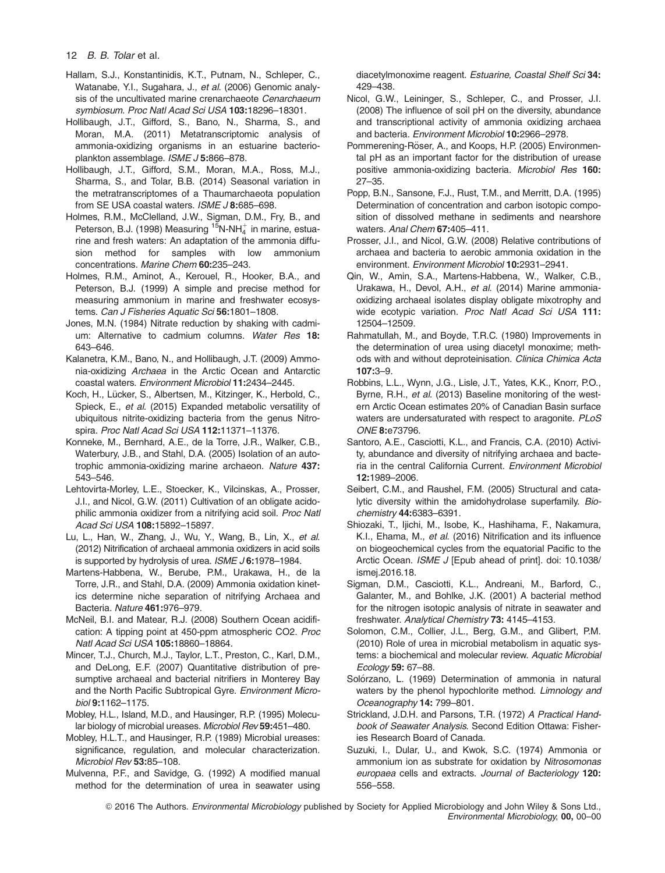#### 12 B. B. Tolar et al.

- Hallam, S.J., Konstantinidis, K.T., Putnam, N., Schleper, C., Watanabe, Y.I., Sugahara, J., et al. (2006) Genomic analysis of the uncultivated marine crenarchaeote Cenarchaeum symbiosum. Proc Natl Acad Sci USA 103:18296–18301.
- Hollibaugh, J.T., Gifford, S., Bano, N., Sharma, S., and Moran, M.A. (2011) Metatranscriptomic analysis of ammonia-oxidizing organisms in an estuarine bacterioplankton assemblage. ISME J 5:866–878.
- Hollibaugh, J.T., Gifford, S.M., Moran, M.A., Ross, M.J., Sharma, S., and Tolar, B.B. (2014) Seasonal variation in the metratranscriptomes of a Thaumarchaeota population from SE USA coastal waters. ISME J 8:685-698.
- Holmes, R.M., McClelland, J.W., Sigman, D.M., Fry, B., and Peterson, B.J. (1998) Measuring  $15N-NH_4^+$  in marine, estuarine and fresh waters: An adaptation of the ammonia diffusion method for samples with low ammonium concentrations. Marine Chem 60:235–243.
- Holmes, R.M., Aminot, A., Kerouel, R., Hooker, B.A., and Peterson, B.J. (1999) A simple and precise method for measuring ammonium in marine and freshwater ecosystems. Can J Fisheries Aquatic Sci 56:1801-1808.
- Jones, M.N. (1984) Nitrate reduction by shaking with cadmium: Alternative to cadmium columns. Water Res 18: 643–646.
- Kalanetra, K.M., Bano, N., and Hollibaugh, J.T. (2009) Ammonia-oxidizing Archaea in the Arctic Ocean and Antarctic coastal waters. Environment Microbiol 11:2434–2445.
- Koch, H., Lücker, S., Albertsen, M., Kitzinger, K., Herbold, C., Spieck, E., et al. (2015) Expanded metabolic versatility of ubiquitous nitrite-oxidizing bacteria from the genus Nitrospira. Proc Natl Acad Sci USA 112:11371–11376.
- Konneke, M., Bernhard, A.E., de la Torre, J.R., Walker, C.B., Waterbury, J.B., and Stahl, D.A. (2005) Isolation of an autotrophic ammonia-oxidizing marine archaeon. Nature 437: 543–546.
- Lehtovirta-Morley, L.E., Stoecker, K., Vilcinskas, A., Prosser, J.I., and Nicol, G.W. (2011) Cultivation of an obligate acidophilic ammonia oxidizer from a nitrifying acid soil. Proc Natl Acad Sci USA 108:15892–15897.
- Lu, L., Han, W., Zhang, J., Wu, Y., Wang, B., Lin, X., et al. (2012) Nitrification of archaeal ammonia oxidizers in acid soils is supported by hydrolysis of urea. *ISME J* 6:1978–1984.
- Martens-Habbena, W., Berube, P.M., Urakawa, H., de la Torre, J.R., and Stahl, D.A. (2009) Ammonia oxidation kinetics determine niche separation of nitrifying Archaea and Bacteria. Nature 461:976–979.
- McNeil, B.I. and Matear, R.J. (2008) Southern Ocean acidification: A tipping point at 450-ppm atmospheric CO2. Proc Natl Acad Sci USA 105:18860–18864.
- Mincer, T.J., Church, M.J., Taylor, L.T., Preston, C., Karl, D.M., and DeLong, E.F. (2007) Quantitative distribution of presumptive archaeal and bacterial nitrifiers in Monterey Bay and the North Pacific Subtropical Gyre. Environment Microbiol 9:1162–1175.
- Mobley, H.L., Island, M.D., and Hausinger, R.P. (1995) Molecular biology of microbial ureases. Microbiol Rev 59:451–480.
- Mobley, H.L.T., and Hausinger, R.P. (1989) Microbial ureases: significance, regulation, and molecular characterization. Microbiol Rev 53:85–108.
- Mulvenna, P.F., and Savidge, G. (1992) A modified manual method for the determination of urea in seawater using

diacetylmonoxime reagent. Estuarine, Coastal Shelf Sci 34: 429–438.

- Nicol, G.W., Leininger, S., Schleper, C., and Prosser, J.I. (2008) The influence of soil pH on the diversity, abundance and transcriptional activity of ammonia oxidizing archaea and bacteria. Environment Microbiol 10:2966–2978.
- Pommerening-Röser, A., and Koops, H.P. (2005) Environmental pH as an important factor for the distribution of urease positive ammonia-oxidizing bacteria. Microbiol Res 160: 27–35.
- Popp, B.N., Sansone, F.J., Rust, T.M., and Merritt, D.A. (1995) Determination of concentration and carbon isotopic composition of dissolved methane in sediments and nearshore waters. Anal Chem 67:405-411.
- Prosser, J.I., and Nicol, G.W. (2008) Relative contributions of archaea and bacteria to aerobic ammonia oxidation in the environment. Environment Microbiol 10:2931–2941.
- Qin, W., Amin, S.A., Martens-Habbena, W., Walker, C.B., Urakawa, H., Devol, A.H., et al. (2014) Marine ammoniaoxidizing archaeal isolates display obligate mixotrophy and wide ecotypic variation. Proc Natl Acad Sci USA 111: 12504–12509.
- Rahmatullah, M., and Boyde, T.R.C. (1980) Improvements in the determination of urea using diacetyl monoxime; methods with and without deproteinisation. Clinica Chimica Acta 107:3–9.
- Robbins, L.L., Wynn, J.G., Lisle, J.T., Yates, K.K., Knorr, P.O., Byrne, R.H., et al. (2013) Baseline monitoring of the western Arctic Ocean estimates 20% of Canadian Basin surface waters are undersaturated with respect to aragonite. PLoS ONE 8:e73796.
- Santoro, A.E., Casciotti, K.L., and Francis, C.A. (2010) Activity, abundance and diversity of nitrifying archaea and bacteria in the central California Current. Environment Microbiol 12:1989–2006.
- Seibert, C.M., and Raushel, F.M. (2005) Structural and catalytic diversity within the amidohydrolase superfamily. Biochemistry 44:6383–6391.
- Shiozaki, T., Ijichi, M., Isobe, K., Hashihama, F., Nakamura, K.I., Ehama, M., et al. (2016) Nitrification and its influence on biogeochemical cycles from the equatorial Pacific to the Arctic Ocean. ISME J [Epub ahead of print]. doi: 10.1038/ ismej.2016.18.
- Sigman, D.M., Casciotti, K.L., Andreani, M., Barford, C., Galanter, M., and Bohlke, J.K. (2001) A bacterial method for the nitrogen isotopic analysis of nitrate in seawater and freshwater. Analytical Chemistry 73: 4145–4153.
- Solomon, C.M., Collier, J.L., Berg, G.M., and Glibert, P.M. (2010) Role of urea in microbial metabolism in aquatic systems: a biochemical and molecular review. Aquatic Microbial Ecology 59: 67–88.
- Solórzano, L. (1969) Determination of ammonia in natural waters by the phenol hypochlorite method. Limnology and Oceanography 14: 799–801.
- Strickland, J.D.H. and Parsons, T.R. (1972) A Practical Handbook of Seawater Analysis. Second Edition Ottawa: Fisheries Research Board of Canada.
- Suzuki, I., Dular, U., and Kwok, S.C. (1974) Ammonia or ammonium ion as substrate for oxidation by Nitrosomonas europaea cells and extracts. Journal of Bacteriology 120: 556–558.
- © 2016 The Authors. Environmental Microbiology published by Society for Applied Microbiology and John Wiley & Sons Ltd., Environmental Microbiology, 00, 00–00